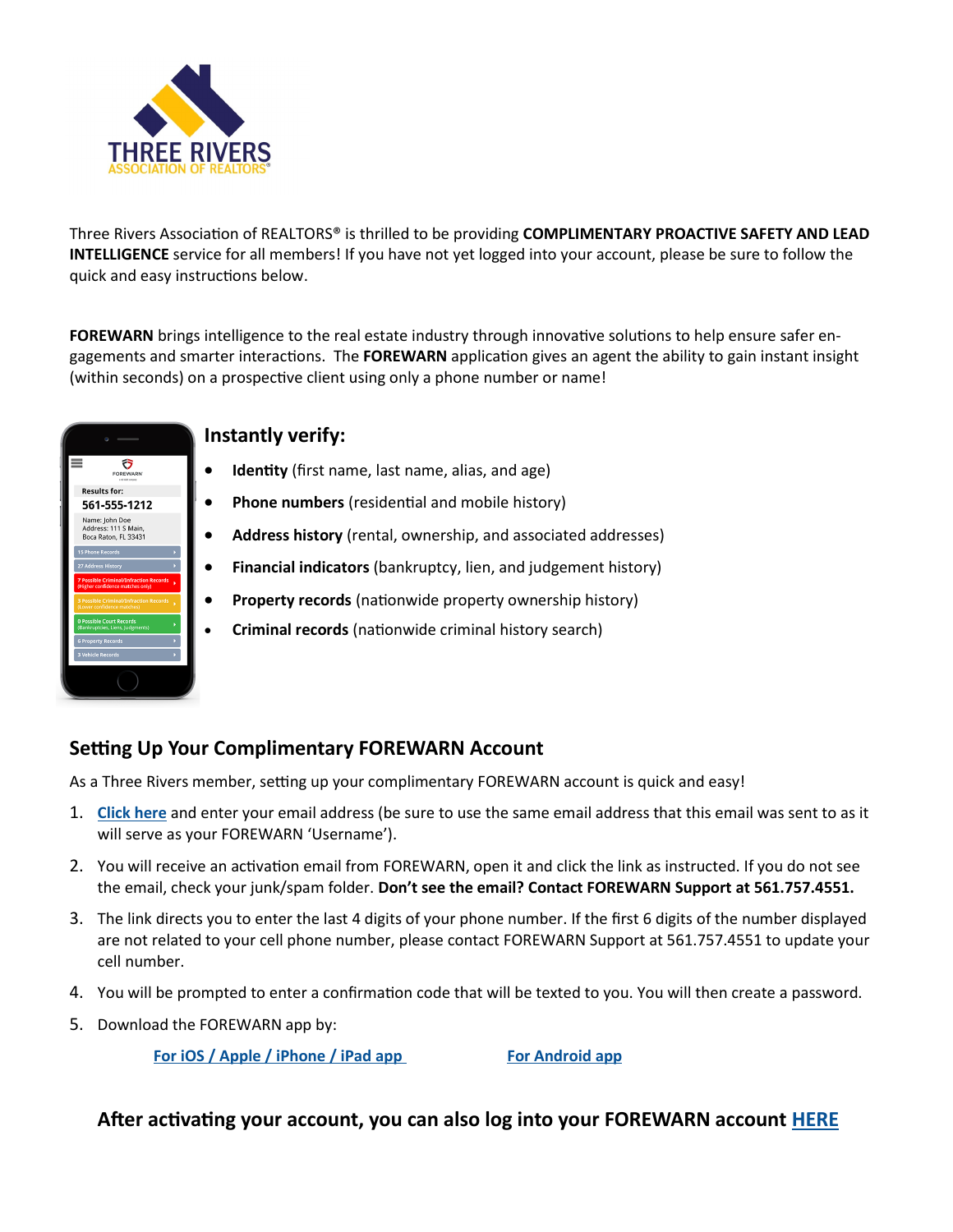

Three Rivers Association of REALTORS® is thrilled to be providing **COMPLIMENTARY PROACTIVE SAFETY AND LEAD INTELLIGENCE** service for all members! If you have not yet logged into your account, please be sure to follow the quick and easy instructions below.

**FOREWARN** brings intelligence to the real estate industry through innovative solutions to help ensure safer engagements and smarter interactions. The **FOREWARN** application gives an agent the ability to gain instant insight (within seconds) on a prospective client using only a phone number or name!

| <b>FOREWARN</b><br><b>Lind debt manage</b>                                        |   |
|-----------------------------------------------------------------------------------|---|
| <b>Results for:</b>                                                               |   |
| 561-555-1212                                                                      |   |
| Name: John Doe<br>Address: 111 S Main,<br>Boca Raton, FL 33431                    |   |
| <b>15 Phone Records</b>                                                           |   |
| 27 Address History                                                                |   |
| <b>7 Possible Criminal/Infraction Records</b><br>(Higher confidence matches only) |   |
| <b>3 Possible Criminal/Infraction Records</b><br>(Lower confidence matches)       | ь |
| <b>0 Possible Court Records</b><br>(Bankruptcies, Liens, Judgments)               |   |
| <b>6 Property Records</b>                                                         |   |
| <b>3 Vehicle Records</b>                                                          |   |
|                                                                                   |   |

### **Instantly verify:**

- **Identity** (first name, last name, alias, and age)
- **Phone numbers** (residential and mobile history)
- **Address history** (rental, ownership, and associated addresses)
- **Financial indicators** (bankruptcy, lien, and judgement history)
- **Property records** (nationwide property ownership history)
- **Criminal records** (nationwide criminal history search)

## **Setting Up Your Complimentary FOREWARN Account**

As a Three Rivers member, setting up your complimentary FOREWARN account is quick and easy!

- 1. **[Click here](https://app.forewarn.com/setuppassword)** and enter your email address (be sure to use the same email address that this email was sent to as it will serve as your FOREWARN 'Username').
- 2. You will receive an activation email from FOREWARN, open it and click the link as instructed. If you do not see the email, check your junk/spam folder. **Don't see the email? Contact FOREWARN Support at 561.757.4551.**
- 3. The link directs you to enter the last 4 digits of your phone number. If the first 6 digits of the number displayed are not related to your cell phone number, please contact FOREWARN Support at 561.757.4551 to update your cell number.
- 4. You will be prompted to enter a confirmation code that will be texted to you. You will then create a password.
- 5. Download the FOREWARN app by:

**[For iOS / Apple / iPhone / iPad app](https://itunes.apple.com/us/app/forewarn/id1275626154?mt=8) [For Android app](https://urldefense.proofpoint.com/v2/url?u=https-3A__play.google.com_store_apps_details-3Fid-3Dcom.Forewarn.ForewarnApp&d=DwMFaQ&c=euGZstcaTDllvimEN8b7jXrwqOf-v5A_CdpgnVfiiMM&r=mfruehUuXXkqPYA5AEzBdWoU3awpoBFy0IGWrE5BJ0w&m=9AKcQ9XpTQ2Ha_sBDCEMdtW0EwW_9eASobMR)** 

### **After activating your account, you can also log into your FOREWARN account [HERE](https://app.forewarn.com/)**